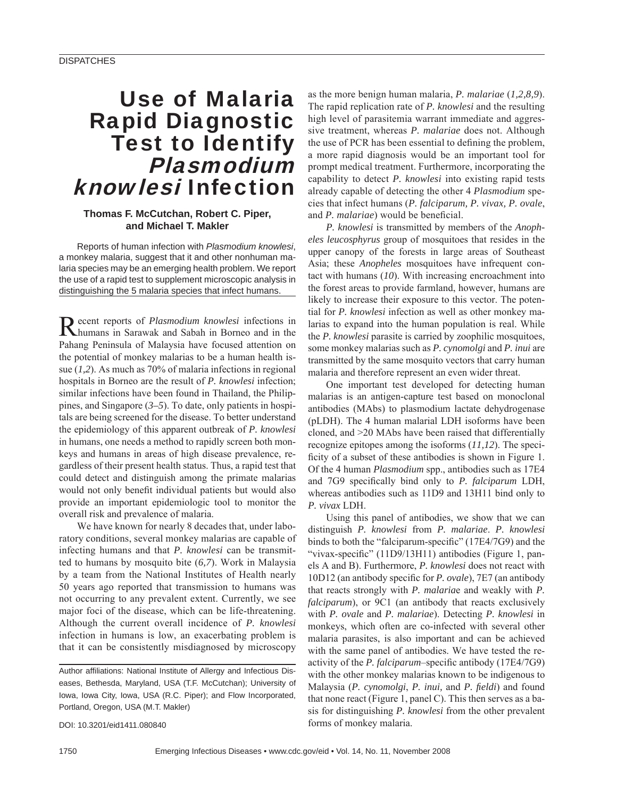# Use of Malaria Rapid Diagnostic Test to Identify Plasmodium knowlesi Infection

### **Thomas F. McCutchan, Robert C. Piper, and Michael T. Makler**

Reports of human infection with *Plasmodium knowlesi*, a monkey malaria, suggest that it and other nonhuman malaria species may be an emerging health problem. We report the use of a rapid test to supplement microscopic analysis in distinguishing the 5 malaria species that infect humans.

Recent reports of *Plasmodium knowlesi* infections in humans in Sarawak and Sabah in Borneo and in the Pahang Peninsula of Malaysia have focused attention on the potential of monkey malarias to be a human health issue (*1,2*). As much as 70% of malaria infections in regional hospitals in Borneo are the result of *P. knowlesi* infection; similar infections have been found in Thailand, the Philippines, and Singapore (*3–5*). To date, only patients in hospitals are being screened for the disease. To better understand the epidemiology of this apparent outbreak of *P. knowlesi* in humans, one needs a method to rapidly screen both monkeys and humans in areas of high disease prevalence, regardless of their present health status. Thus, a rapid test that could detect and distinguish among the primate malarias would not only benefit individual patients but would also provide an important epidemiologic tool to monitor the overall risk and prevalence of malaria.

We have known for nearly 8 decades that, under laboratory conditions, several monkey malarias are capable of infecting humans and that *P. knowlesi* can be transmitted to humans by mosquito bite (*6,7*). Work in Malaysia by a team from the National Institutes of Health nearly 50 years ago reported that transmission to humans was not occurring to any prevalent extent. Currently, we see major foci of the disease, which can be life-threatening. Although the current overall incidence of *P. knowlesi* infection in humans is low, an exacerbating problem is that it can be consistently misdiagnosed by microscopy

as the more benign human malaria, *P. malariae* (*1,2,8,9*). The rapid replication rate of *P. knowlesi* and the resulting high level of parasitemia warrant immediate and aggressive treatment, whereas *P. malariae* does not. Although the use of PCR has been essential to defining the problem, a more rapid diagnosis would be an important tool for prompt medical treatment. Furthermore, incorporating the capability to detect *P. knowlesi* into existing rapid tests already capable of detecting the other 4 *Plasmodium* species that infect humans (*P. falciparum, P. vivax, P. ovale*, and *P. malariae*) would be beneficial.

*P. knowlesi* is transmitted by members of the *Anopheles leucosphyrus* group of mosquitoes that resides in the upper canopy of the forests in large areas of Southeast Asia; these *Anopheles* mosquitoes have infrequent contact with humans (*10*). With increasing encroachment into the forest areas to provide farmland, however, humans are likely to increase their exposure to this vector. The potential for *P. knowlesi* infection as well as other monkey malarias to expand into the human population is real. While the *P. knowlesi* parasite is carried by zoophilic mosquitoes, some monkey malarias such as *P. cynomolgi* and *P. inui* are transmitted by the same mosquito vectors that carry human malaria and therefore represent an even wider threat.

One important test developed for detecting human malarias is an antigen-capture test based on monoclonal antibodies (MAbs) to plasmodium lactate dehydrogenase (pLDH). The 4 human malarial LDH isoforms have been cloned, and >20 MAbs have been raised that differentially recognize epitopes among the isoforms (*11,12*). The specificity of a subset of these antibodies is shown in Figure 1. Of the 4 human *Plasmodium* spp., antibodies such as 17E4 and 7G9 specifically bind only to *P. falciparum* LDH, whereas antibodies such as 11D9 and 13H11 bind only to *P. vivax* LDH.

Using this panel of antibodies, we show that we can distinguish *P. knowlesi* from *P. malariae*. *P. knowlesi* binds to both the "falciparum-specific" (17E4/7G9) and the "vivax-specific" (11D9/13H11) antibodies (Figure 1, panels A and B). Furthermore, *P. knowlesi* does not react with 10D12 (an antibody specific for *P. ovale*), 7E7 (an antibody that reacts strongly with *P. malaria*e and weakly with *P. falciparum*), or 9C1 (an antibody that reacts exclusively with *P. ovale* and *P. malariae*). Detecting *P. knowlesi* in monkeys, which often are co-infected with several other malaria parasites, is also important and can be achieved with the same panel of antibodies. We have tested the reactivity of the *P. falciparum*–specific antibody (17E4/7G9) with the other monkey malarias known to be indigenous to Malaysia (*P. cynomolgi, P. inui,* and *P. fieldi*) and found that none react (Figure 1, panel C). This then serves as a basis for distinguishing *P. knowlesi* from the other prevalent forms of monkey malaria.

DOI: 10.3201/eid1411.080840

Author affiliations: National Institute of Allergy and Infectious Diseases, Bethesda, Maryland, USA (T.F. McCutchan); University of Iowa, Iowa City, Iowa, USA (R.C. Piper); and Flow Incorporated, Portland, Oregon, USA (M.T. Makler)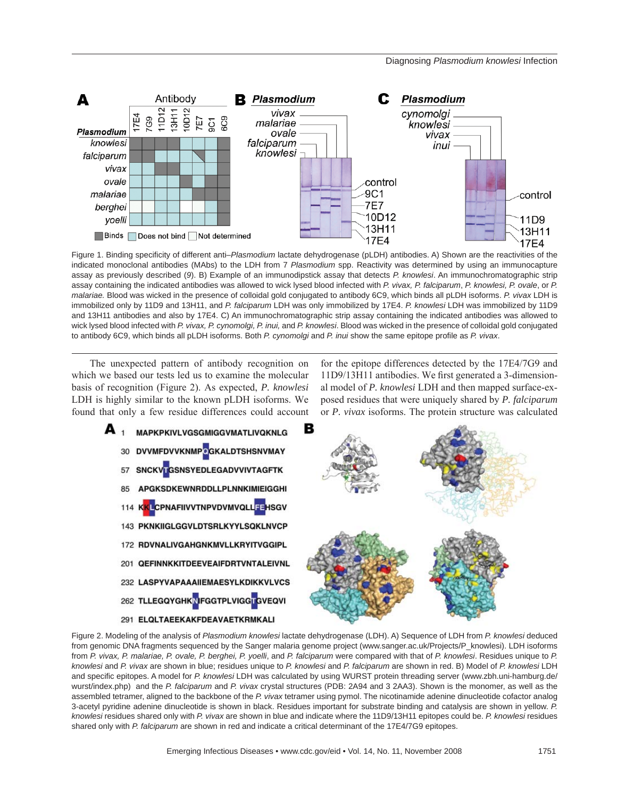#### Diagnosing *Plasmodium knowlesi* Infection



Figure 1. Binding specificity of different anti–Plasmodium lactate dehydrogenase (pLDH) antibodies. A) Shown are the reactivities of the indicated monoclonal antibodies (MAbs) to the LDH from 7 *Plasmodium* spp. Reactivity was determined by using an immunocapture assay as previously described (*9*). B) Example of an immunodipstick assay that detects *P. knowlesi*. An immunochromatographic strip assay containing the indicated antibodies was allowed to wick lysed blood infected with *P. vivax, P. falciparum*, *P. knowlesi, P. ovale*, or *P. malariae.* Blood was wicked in the presence of colloidal gold conjugated to antibody 6C9, which binds all pLDH isoforms. *P. vivax* LDH is immobilized only by 11D9 and 13H11, and *P. falciparum* LDH was only immobilized by 17E4. *P. knowlesi* LDH was immobilized by 11D9 and 13H11 antibodies and also by 17E4. C) An immunochromatographic strip assay containing the indicated antibodies was allowed to wick lysed blood infected with *P. vivax, P. cynomolgi, P. inui,* and *P. knowlesi*. Blood was wicked in the presence of colloidal gold conjugated to antibody 6C9, which binds all pLDH isoforms. Both *P. cynomolgi* and *P. inui* show the same epitope profile as *P. vivax*.

The unexpected pattern of antibody recognition on which we based our tests led us to examine the molecular basis of recognition (Figure 2). As expected, *P. knowlesi* LDH is highly similar to the known pLDH isoforms. We found that only a few residue differences could account

for the epitope differences detected by the 17E4/7G9 and 11D9/13H11 antibodies. We first generated a 3-dimensional model of *P. knowlesi* LDH and then mapped surface-exposed residues that were uniquely shared by *P. falciparum* or *P. vivax* isoforms. The protein structure was calculated



Figure 2. Modeling of the analysis of *Plasmodium knowlesi* lactate dehydrogenase (LDH). A) Sequence of LDH from *P. knowlesi* deduced from genomic DNA fragments sequenced by the Sanger malaria genome project (www.sanger.ac.uk/Projects/P\_knowlesi). LDH isoforms from *P. vivax, P. malariae, P. ovale, P. berghei, P. yoelli*, and *P. falciparum* were compared with that of *P. knowlesi*. Residues unique to *P. knowlesi* and *P. vivax* are shown in blue; residues unique to *P. knowlesi* and *P. falciparum* are shown in red. B) Model of *P. knowlesi* LDH and specific epitopes. A model for P. knowlesi LDH was calculated by using WURST protein threading server (www.zbh.uni-hamburg.de/ wurst/index.php) and the *P. falciparum* and *P. vivax* crystal structures (PDB: 2A94 and 3 2AA3). Shown is the monomer, as well as the assembled tetramer, aligned to the backbone of the *P. vivax* tetramer using pymol. The nicotinamide adenine dinucleotide cofactor analog 3-acetyl pyridine adenine dinucleotide is shown in black. Residues important for substrate binding and catalysis are shown in yellow. *P. knowlesi* residues shared only with *P. vivax* are shown in blue and indicate where the 11D9/13H11 epitopes could be. *P. knowlesi* residues shared only with *P. falciparum* are shown in red and indicate a critical determinant of the 17E4/7G9 epitopes.